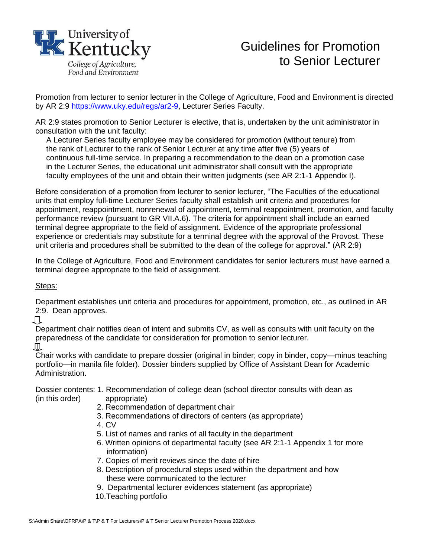

## Guidelines for Promotion to Senior Lecturer

Promotion from lecturer to senior lecturer in the College of Agriculture, Food and Environment is directed by AR 2:9 [https://www.uky.edu/regs/ar2-9,](https://www.uky.edu/regs/ar2-9) Lecturer Series Faculty.

AR 2:9 states promotion to Senior Lecturer is elective, that is, undertaken by the unit administrator in consultation with the unit faculty:

A Lecturer Series faculty employee may be considered for promotion (without tenure) from the rank of Lecturer to the rank of Senior Lecturer at any time after five (5) years of continuous full-time service. In preparing a recommendation to the dean on a promotion case in the Lecturer Series, the educational unit administrator shall consult with the appropriate faculty employees of the unit and obtain their written judgments (see AR 2:1-1 Appendix I).

Before consideration of a promotion from lecturer to senior lecturer, "The Faculties of the educational units that employ full-time Lecturer Series faculty shall establish unit criteria and procedures for appointment, reappointment, nonrenewal of appointment, terminal reappointment, promotion, and faculty performance review (pursuant to GR VII.A.6). The criteria for appointment shall include an earned terminal degree appropriate to the field of assignment. Evidence of the appropriate professional experience or credentials may substitute for a terminal degree with the approval of the Provost. These unit criteria and procedures shall be submitted to the dean of the college for approval." (AR 2:9)

In the College of Agriculture, Food and Environment candidates for senior lecturers must have earned a terminal degree appropriate to the field of assignment.

Steps:

Department establishes unit criteria and procedures for appointment, promotion, etc., as outlined in AR 2:9. Dean approves.

Л

Department chair notifies dean of intent and submits CV, as well as consults with unit faculty on the preparedness of the candidate for consideration for promotion to senior lecturer. **↓**

Chair works with candidate to prepare dossier (original in binder; copy in binder, copy—minus teaching portfolio—in manila file folder). Dossier binders supplied by Office of Assistant Dean for Academic Administration.

Dossier contents: 1. Recommendation of college dean (school director consults with dean as (in this order) appropriate)

- 2. Recommendation of department chair
- 3. Recommendations of directors of centers (as appropriate)
- 4. CV
- 5. List of names and ranks of all faculty in the department
- 6. Written opinions of departmental faculty (see AR 2:1-1 Appendix 1 for more information)
- 7. Copies of merit reviews since the date of hire
- 8. Description of procedural steps used within the department and how these were communicated to the lecturer
- 9. Departmental lecturer evidences statement (as appropriate)
- 10.Teaching portfolio